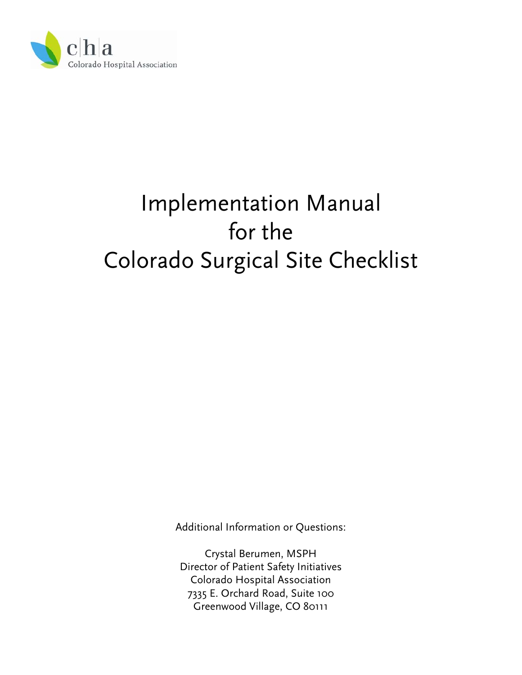

# Implementation Manual for the Colorado Surgical Site Checklist

Additional Information or Questions:

Crystal Berumen, MSPH Director of Patient Safety Initiatives Colorado Hospital Association 7335 E. Orchard Road, Suite 100 Greenwood Village, CO 80111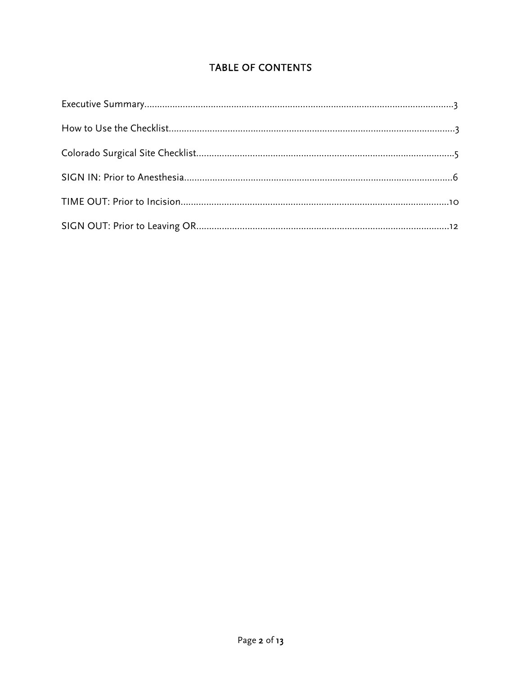# TABLE OF CONTENTS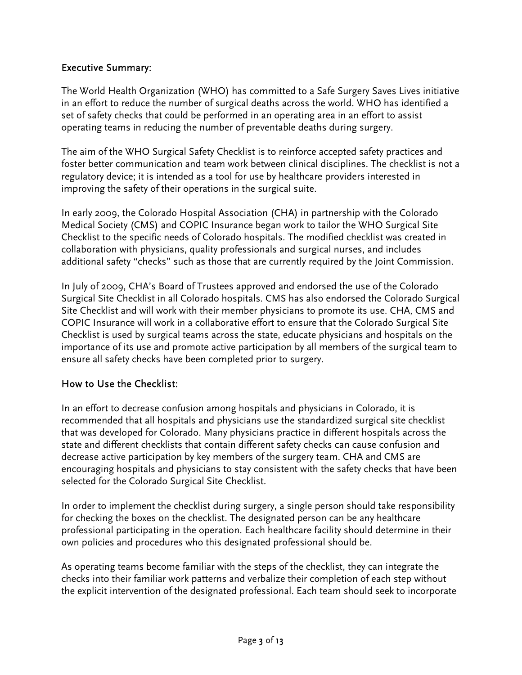#### Executive Summary:

The World Health Organization (WHO) has committed to a Safe Surgery Saves Lives initiative in an effort to reduce the number of surgical deaths across the world. WHO has identified a set of safety checks that could be performed in an operating area in an effort to assist operating teams in reducing the number of preventable deaths during surgery.

The aim of the WHO Surgical Safety Checklist is to reinforce accepted safety practices and foster better communication and team work between clinical disciplines. The checklist is not a regulatory device; it is intended as a tool for use by healthcare providers interested in improving the safety of their operations in the surgical suite.

In early 2009, the Colorado Hospital Association (CHA) in partnership with the Colorado Medical Society (CMS) and COPIC Insurance began work to tailor the WHO Surgical Site Checklist to the specific needs of Colorado hospitals. The modified checklist was created in collaboration with physicians, quality professionals and surgical nurses, and includes additional safety "checks" such as those that are currently required by the Joint Commission.

In July of 2009, CHA's Board of Trustees approved and endorsed the use of the Colorado Surgical Site Checklist in all Colorado hospitals. CMS has also endorsed the Colorado Surgical Site Checklist and will work with their member physicians to promote its use. CHA, CMS and COPIC Insurance will work in a collaborative effort to ensure that the Colorado Surgical Site Checklist is used by surgical teams across the state, educate physicians and hospitals on the importance of its use and promote active participation by all members of the surgical team to ensure all safety checks have been completed prior to surgery.

#### How to Use the Checklist:

In an effort to decrease confusion among hospitals and physicians in Colorado, it is recommended that all hospitals and physicians use the standardized surgical site checklist that was developed for Colorado. Many physicians practice in different hospitals across the state and different checklists that contain different safety checks can cause confusion and decrease active participation by key members of the surgery team. CHA and CMS are encouraging hospitals and physicians to stay consistent with the safety checks that have been selected for the Colorado Surgical Site Checklist.

In order to implement the checklist during surgery, a single person should take responsibility for checking the boxes on the checklist. The designated person can be any healthcare professional participating in the operation. Each healthcare facility should determine in their own policies and procedures who this designated professional should be.

As operating teams become familiar with the steps of the checklist, they can integrate the checks into their familiar work patterns and verbalize their completion of each step without the explicit intervention of the designated professional. Each team should seek to incorporate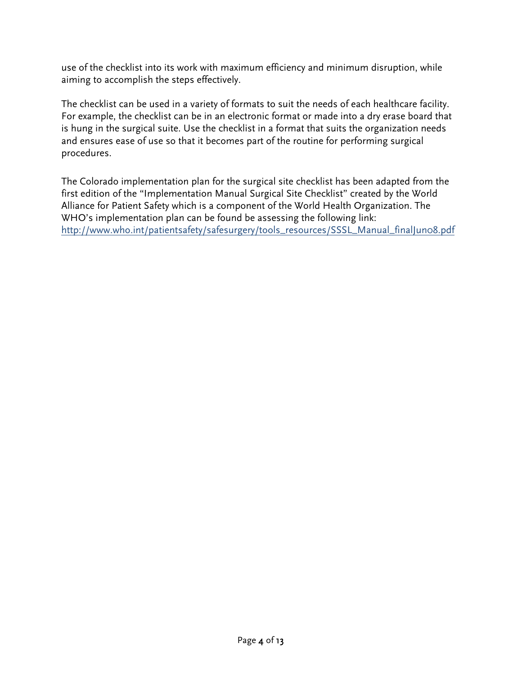use of the checklist into its work with maximum efficiency and minimum disruption, while aiming to accomplish the steps effectively.

The checklist can be used in a variety of formats to suit the needs of each healthcare facility. For example, the checklist can be in an electronic format or made into a dry erase board that is hung in the surgical suite. Use the checklist in a format that suits the organization needs and ensures ease of use so that it becomes part of the routine for performing surgical procedures.

The Colorado implementation plan for the surgical site checklist has been adapted from the first edition of the "Implementation Manual Surgical Site Checklist" created by the World Alliance for Patient Safety which is a component of the World Health Organization. The WHO's implementation plan can be found be assessing the following link: [http://www.who.int/patientsafety/safesurgery/tools\\_resources/SSSL\\_Manual\\_finalJun08.pdf](http://www.who.int/patientsafety/safesurgery/tools_resources/SSSL_Manual_finalJun08.pdf)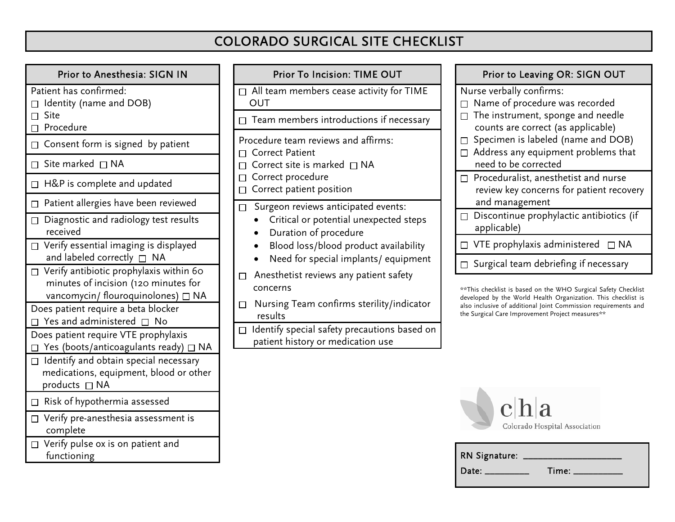# COLORADO SURGICAL SITE CHECKLIST

| Prior to Anesthesia: SIGN IN                                                                                                      |   |             |
|-----------------------------------------------------------------------------------------------------------------------------------|---|-------------|
| Patient has confirmed:<br>Identity (name and DOB)                                                                                 |   | All<br>OU   |
| Site<br>Procedure                                                                                                                 |   | Tea         |
| $\Box$ Consent form is signed by patient                                                                                          |   | Proce<br>Co |
| Site marked $\Box$ NA                                                                                                             |   | Co          |
| H&P is complete and updated<br>П                                                                                                  |   | Co<br>Co    |
| Patient allergies have been reviewed                                                                                              | П | Su          |
| Diagnostic and radiology test results<br>П<br>received                                                                            |   |             |
| $\Box$ Verify essential imaging is displayed<br>and labeled correctly $\Box$<br>NA                                                |   |             |
| $\Box$ Verify antibiotic prophylaxis within 60<br>minutes of incision (120 minutes for<br>vancomycin/ flouroquinolones) $\Box$ NA |   | Ar<br>COI   |
| Does patient require a beta blocker<br>Yes and administered $\square$<br>No                                                       |   | Nι<br>re    |
| Does patient require VTE prophylaxis<br>$\Box$ Yes (boots/anticoagulants ready) $\Box$ NA                                         |   | Ide<br>pa   |
| $\Box$ Identify and obtain special necessary<br>medications, equipment, blood or other<br>products $\Box$ NA                      |   |             |
| Risk of hypothermia assessed                                                                                                      |   |             |
| Verify pre-anesthesia assessment is<br>П<br>complete                                                                              |   |             |
| Verify pulse ox is on patient and<br>$\Box$<br>functioning                                                                        |   |             |

| <b>Prior To Incision: TIME OUT</b>                                                                                     | Pri                                           |
|------------------------------------------------------------------------------------------------------------------------|-----------------------------------------------|
| $\Box$ All team members cease activity for TIME<br><b>OUT</b>                                                          | Nurse ve<br>Name                              |
| Team members introductions if necessary                                                                                | The in<br>coun                                |
| Procedure team reviews and affirms:<br><b>Correct Patient</b><br>Correct site is marked $\Box$ NA<br>Correct procedure | Speci<br>П<br>Addre<br>need<br>Proce<br>П     |
| Correct patient position                                                                                               | revie<br>and r                                |
| Surgeon reviews anticipated events:<br>Critical or potential unexpected steps<br>Duration of procedure                 | <b>Disco</b><br>appli                         |
| Blood loss/blood product availability<br>Need for special implants/equipment                                           | VTE <sub>r</sub>                              |
| Anesthetist reviews any patient safety<br>$\mathsf{L}$<br>concerns                                                     | Surgi<br>**This check                         |
| Nursing Team confirms sterility/indicator<br>results                                                                   | developed by<br>also inclusiv<br>the Surgical |
| Identify special safety precautions based on<br>$\Box$<br>patient history or medication use                            |                                               |
|                                                                                                                        |                                               |

# or to Leaving OR: SIGN OUT

erbally confirms:

- e of procedure was recorded
- nstrument, sponge and needle ts are correct (as applicable)
- men is labeled (name and DOB)
- ess any equipment problems that need to be corrected
- eduralist, anesthetist and nurse w key concerns for patient recovery management
- ontinue prophylactic antibiotics (if cable)
- $\mathsf{prop}$ hylaxis administered  $\Box$  NA
- cal team debriefing if necessary

klist is based on the WHO Surgical Safety Checklist y the World Health Organization. This checklist is e of additional Joint Commission requirements and Care Improvement Project measures\*\*

| RN Signature: ___ |  |
|-------------------|--|
| Date: ____        |  |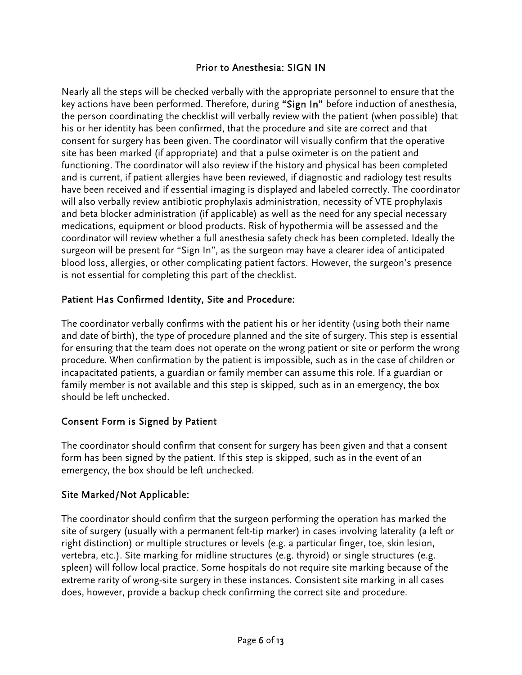#### Prior to Anesthesia: SIGN IN

Nearly all the steps will be checked verbally with the appropriate personnel to ensure that the key actions have been performed. Therefore, during "Sign In" before induction of anesthesia, the person coordinating the checklist will verbally review with the patient (when possible) that his or her identity has been confirmed, that the procedure and site are correct and that consent for surgery has been given. The coordinator will visually confirm that the operative site has been marked (if appropriate) and that a pulse oximeter is on the patient and functioning. The coordinator will also review if the history and physical has been completed and is current, if patient allergies have been reviewed, if diagnostic and radiology test results have been received and if essential imaging is displayed and labeled correctly. The coordinator will also verbally review antibiotic prophylaxis administration, necessity of VTE prophylaxis and beta blocker administration (if applicable) as well as the need for any special necessary medications, equipment or blood products. Risk of hypothermia will be assessed and the coordinator will review whether a full anesthesia safety check has been completed. Ideally the surgeon will be present for "Sign In", as the surgeon may have a clearer idea of anticipated blood loss, allergies, or other complicating patient factors. However, the surgeon's presence is not essential for completing this part of the checklist.

# Patient Has Confirmed Identity, Site and Procedure:

The coordinator verbally confirms with the patient his or her identity (using both their name and date of birth), the type of procedure planned and the site of surgery. This step is essential for ensuring that the team does not operate on the wrong patient or site or perform the wrong procedure. When confirmation by the patient is impossible, such as in the case of children or incapacitated patients, a guardian or family member can assume this role. If a guardian or family member is not available and this step is skipped, such as in an emergency, the box should be left unchecked.

#### Consent Form is Signed by Patient

The coordinator should confirm that consent for surgery has been given and that a consent form has been signed by the patient. If this step is skipped, such as in the event of an emergency, the box should be left unchecked.

#### Site Marked/Not Applicable:

The coordinator should confirm that the surgeon performing the operation has marked the site of surgery (usually with a permanent felt-tip marker) in cases involving laterality (a left or right distinction) or multiple structures or levels (e.g. a particular finger, toe, skin lesion, vertebra, etc.). Site marking for midline structures (e.g. thyroid) or single structures (e.g. spleen) will follow local practice. Some hospitals do not require site marking because of the extreme rarity of wrong-site surgery in these instances. Consistent site marking in all cases does, however, provide a backup check confirming the correct site and procedure.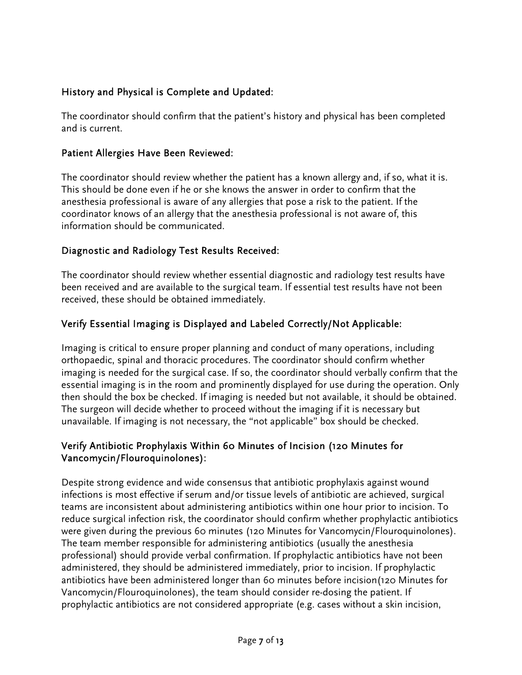# History and Physical is Complete and Updated:

The coordinator should confirm that the patient's history and physical has been completed and is current.

#### Patient Allergies Have Been Reviewed:

The coordinator should review whether the patient has a known allergy and, if so, what it is. This should be done even if he or she knows the answer in order to confirm that the anesthesia professional is aware of any allergies that pose a risk to the patient. If the coordinator knows of an allergy that the anesthesia professional is not aware of, this information should be communicated.

#### Diagnostic and Radiology Test Results Received:

The coordinator should review whether essential diagnostic and radiology test results have been received and are available to the surgical team. If essential test results have not been received, these should be obtained immediately.

# Verify Essential Imaging is Displayed and Labeled Correctly/Not Applicable:

Imaging is critical to ensure proper planning and conduct of many operations, including orthopaedic, spinal and thoracic procedures. The coordinator should confirm whether imaging is needed for the surgical case. If so, the coordinator should verbally confirm that the essential imaging is in the room and prominently displayed for use during the operation. Only then should the box be checked. If imaging is needed but not available, it should be obtained. The surgeon will decide whether to proceed without the imaging if it is necessary but unavailable. If imaging is not necessary, the "not applicable" box should be checked.

#### Verify Antibiotic Prophylaxis Within 60 Minutes of Incision (120 Minutes for Vancomycin/Flouroquinolones):

Despite strong evidence and wide consensus that antibiotic prophylaxis against wound infections is most effective if serum and/or tissue levels of antibiotic are achieved, surgical teams are inconsistent about administering antibiotics within one hour prior to incision. To reduce surgical infection risk, the coordinator should confirm whether prophylactic antibiotics were given during the previous 60 minutes (120 Minutes for Vancomycin/Flouroquinolones). The team member responsible for administering antibiotics (usually the anesthesia professional) should provide verbal confirmation. If prophylactic antibiotics have not been administered, they should be administered immediately, prior to incision. If prophylactic antibiotics have been administered longer than 60 minutes before incision(120 Minutes for Vancomycin/Flouroquinolones), the team should consider re-dosing the patient. If prophylactic antibiotics are not considered appropriate (e.g. cases without a skin incision,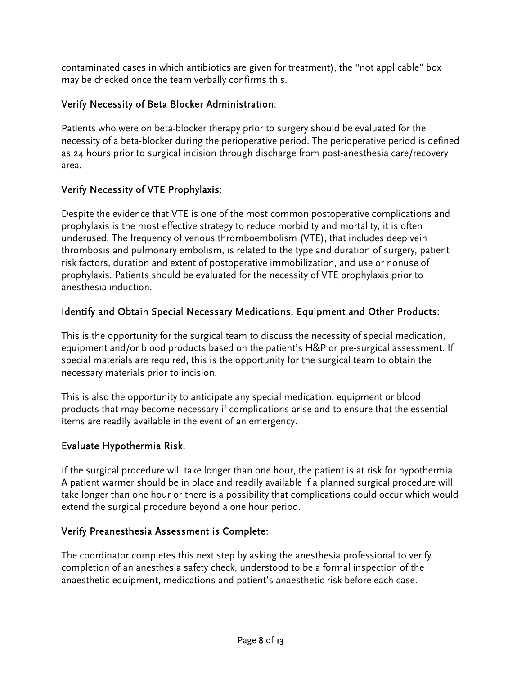contaminated cases in which antibiotics are given for treatment), the "not applicable" box may be checked once the team verbally confirms this.

# Verify Necessity of Beta Blocker Administration:

Patients who were on beta-blocker therapy prior to surgery should be evaluated for the necessity of a beta-blocker during the perioperative period. The perioperative period is defined as 24 hours prior to surgical incision through discharge from post-anesthesia care/recovery area.

# Verify Necessity of VTE Prophylaxis:

Despite the evidence that VTE is one of the most common postoperative complications and prophylaxis is the most effective strategy to reduce morbidity and mortality, it is often underused. The frequency of venous thromboembolism (VTE), that includes deep vein thrombosis and pulmonary embolism, is related to the type and duration of surgery, patient risk factors, duration and extent of postoperative immobilization, and use or nonuse of prophylaxis. Patients should be evaluated for the necessity of VTE prophylaxis prior to anesthesia induction.

# Identify and Obtain Special Necessary Medications, Equipment and Other Products:

This is the opportunity for the surgical team to discuss the necessity of special medication, equipment and/or blood products based on the patient's H&P or pre-surgical assessment. If special materials are required, this is the opportunity for the surgical team to obtain the necessary materials prior to incision.

This is also the opportunity to anticipate any special medication, equipment or blood products that may become necessary if complications arise and to ensure that the essential items are readily available in the event of an emergency.

# Evaluate Hypothermia Risk:

If the surgical procedure will take longer than one hour, the patient is at risk for hypothermia. A patient warmer should be in place and readily available if a planned surgical procedure will take longer than one hour or there is a possibility that complications could occur which would extend the surgical procedure beyond a one hour period.

# Verify Preanesthesia Assessment is Complete:

The coordinator completes this next step by asking the anesthesia professional to verify completion of an anesthesia safety check, understood to be a formal inspection of the anaesthetic equipment, medications and patient's anaesthetic risk before each case.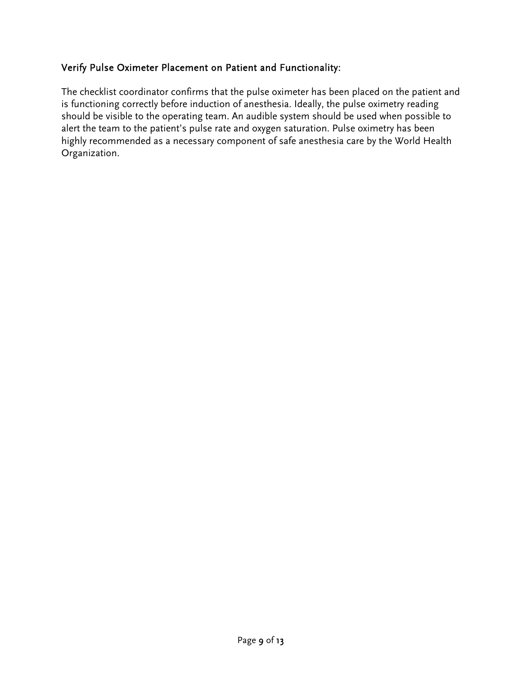#### Verify Pulse Oximeter Placement on Patient and Functionality:

The checklist coordinator confirms that the pulse oximeter has been placed on the patient and is functioning correctly before induction of anesthesia. Ideally, the pulse oximetry reading should be visible to the operating team. An audible system should be used when possible to alert the team to the patient's pulse rate and oxygen saturation. Pulse oximetry has been highly recommended as a necessary component of safe anesthesia care by the World Health Organization.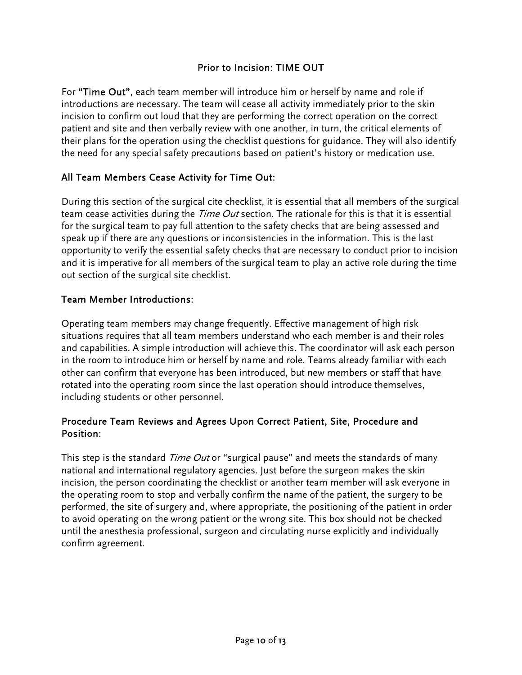#### Prior to Incision: TIME OUT

For "Time Out", each team member will introduce him or herself by name and role if introductions are necessary. The team will cease all activity immediately prior to the skin incision to confirm out loud that they are performing the correct operation on the correct patient and site and then verbally review with one another, in turn, the critical elements of their plans for the operation using the checklist questions for guidance. They will also identify the need for any special safety precautions based on patient's history or medication use.

# All Team Members Cease Activity for Time Out:

During this section of the surgical cite checklist, it is essential that all members of the surgical team cease activities during the *Time Out* section. The rationale for this is that it is essential for the surgical team to pay full attention to the safety checks that are being assessed and speak up if there are any questions or inconsistencies in the information. This is the last opportunity to verify the essential safety checks that are necessary to conduct prior to incision and it is imperative for all members of the surgical team to play an active role during the time out section of the surgical site checklist.

#### Team Member Introductions:

Operating team members may change frequently. Effective management of high risk situations requires that all team members understand who each member is and their roles and capabilities. A simple introduction will achieve this. The coordinator will ask each person in the room to introduce him or herself by name and role. Teams already familiar with each other can confirm that everyone has been introduced, but new members or staff that have rotated into the operating room since the last operation should introduce themselves, including students or other personnel.

#### Procedure Team Reviews and Agrees Upon Correct Patient, Site, Procedure and Position:

This step is the standard *Time Out* or "surgical pause" and meets the standards of many national and international regulatory agencies. Just before the surgeon makes the skin incision, the person coordinating the checklist or another team member will ask everyone in the operating room to stop and verbally confirm the name of the patient, the surgery to be performed, the site of surgery and, where appropriate, the positioning of the patient in order to avoid operating on the wrong patient or the wrong site. This box should not be checked until the anesthesia professional, surgeon and circulating nurse explicitly and individually confirm agreement.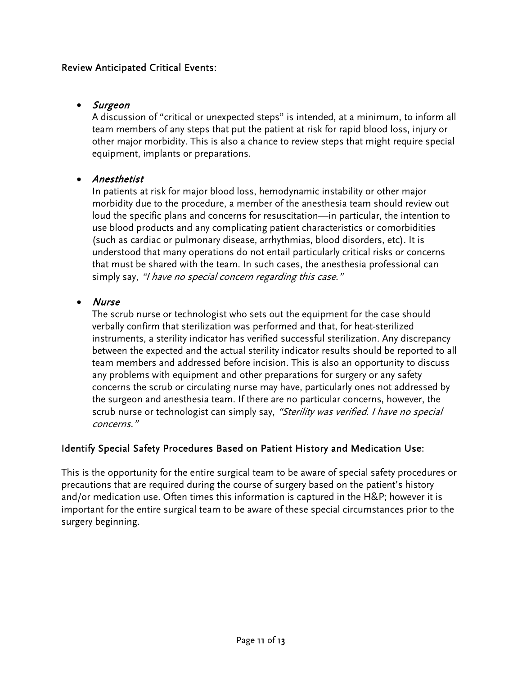#### Review Anticipated Critical Events:

#### • Surgeon

A discussion of "critical or unexpected steps" is intended, at a minimum, to inform all team members of any steps that put the patient at risk for rapid blood loss, injury or other major morbidity. This is also a chance to review steps that might require special equipment, implants or preparations.

#### • Anesthetist

In patients at risk for major blood loss, hemodynamic instability or other major morbidity due to the procedure, a member of the anesthesia team should review out loud the specific plans and concerns for resuscitation—in particular, the intention to use blood products and any complicating patient characteristics or comorbidities (such as cardiac or pulmonary disease, arrhythmias, blood disorders, etc). It is understood that many operations do not entail particularly critical risks or concerns that must be shared with the team. In such cases, the anesthesia professional can simply say, "I have no special concern regarding this case."

#### • Nurse

The scrub nurse or technologist who sets out the equipment for the case should verbally confirm that sterilization was performed and that, for heat-sterilized instruments, a sterility indicator has verified successful sterilization. Any discrepancy between the expected and the actual sterility indicator results should be reported to all team members and addressed before incision. This is also an opportunity to discuss any problems with equipment and other preparations for surgery or any safety concerns the scrub or circulating nurse may have, particularly ones not addressed by the surgeon and anesthesia team. If there are no particular concerns, however, the scrub nurse or technologist can simply say, "Sterility was verified. I have no special concerns."

# Identify Special Safety Procedures Based on Patient History and Medication Use:

This is the opportunity for the entire surgical team to be aware of special safety procedures or precautions that are required during the course of surgery based on the patient's history and/or medication use. Often times this information is captured in the H&P; however it is important for the entire surgical team to be aware of these special circumstances prior to the surgery beginning.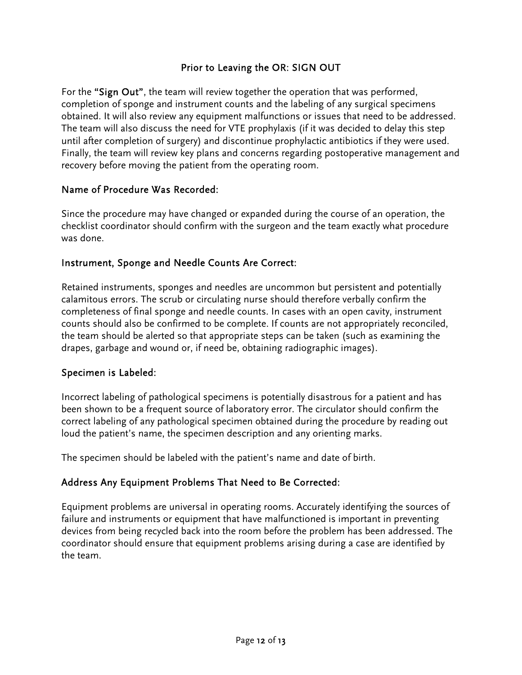#### Prior to Leaving the OR: SIGN OUT

For the "Sign Out", the team will review together the operation that was performed, completion of sponge and instrument counts and the labeling of any surgical specimens obtained. It will also review any equipment malfunctions or issues that need to be addressed. The team will also discuss the need for VTE prophylaxis (if it was decided to delay this step until after completion of surgery) and discontinue prophylactic antibiotics if they were used. Finally, the team will review key plans and concerns regarding postoperative management and recovery before moving the patient from the operating room.

#### Name of Procedure Was Recorded:

Since the procedure may have changed or expanded during the course of an operation, the checklist coordinator should confirm with the surgeon and the team exactly what procedure was done.

#### Instrument, Sponge and Needle Counts Are Correct:

Retained instruments, sponges and needles are uncommon but persistent and potentially calamitous errors. The scrub or circulating nurse should therefore verbally confirm the completeness of final sponge and needle counts. In cases with an open cavity, instrument counts should also be confirmed to be complete. If counts are not appropriately reconciled, the team should be alerted so that appropriate steps can be taken (such as examining the drapes, garbage and wound or, if need be, obtaining radiographic images).

#### Specimen is Labeled:

Incorrect labeling of pathological specimens is potentially disastrous for a patient and has been shown to be a frequent source of laboratory error. The circulator should confirm the correct labeling of any pathological specimen obtained during the procedure by reading out loud the patient's name, the specimen description and any orienting marks.

The specimen should be labeled with the patient's name and date of birth.

#### Address Any Equipment Problems That Need to Be Corrected:

Equipment problems are universal in operating rooms. Accurately identifying the sources of failure and instruments or equipment that have malfunctioned is important in preventing devices from being recycled back into the room before the problem has been addressed. The coordinator should ensure that equipment problems arising during a case are identified by the team.